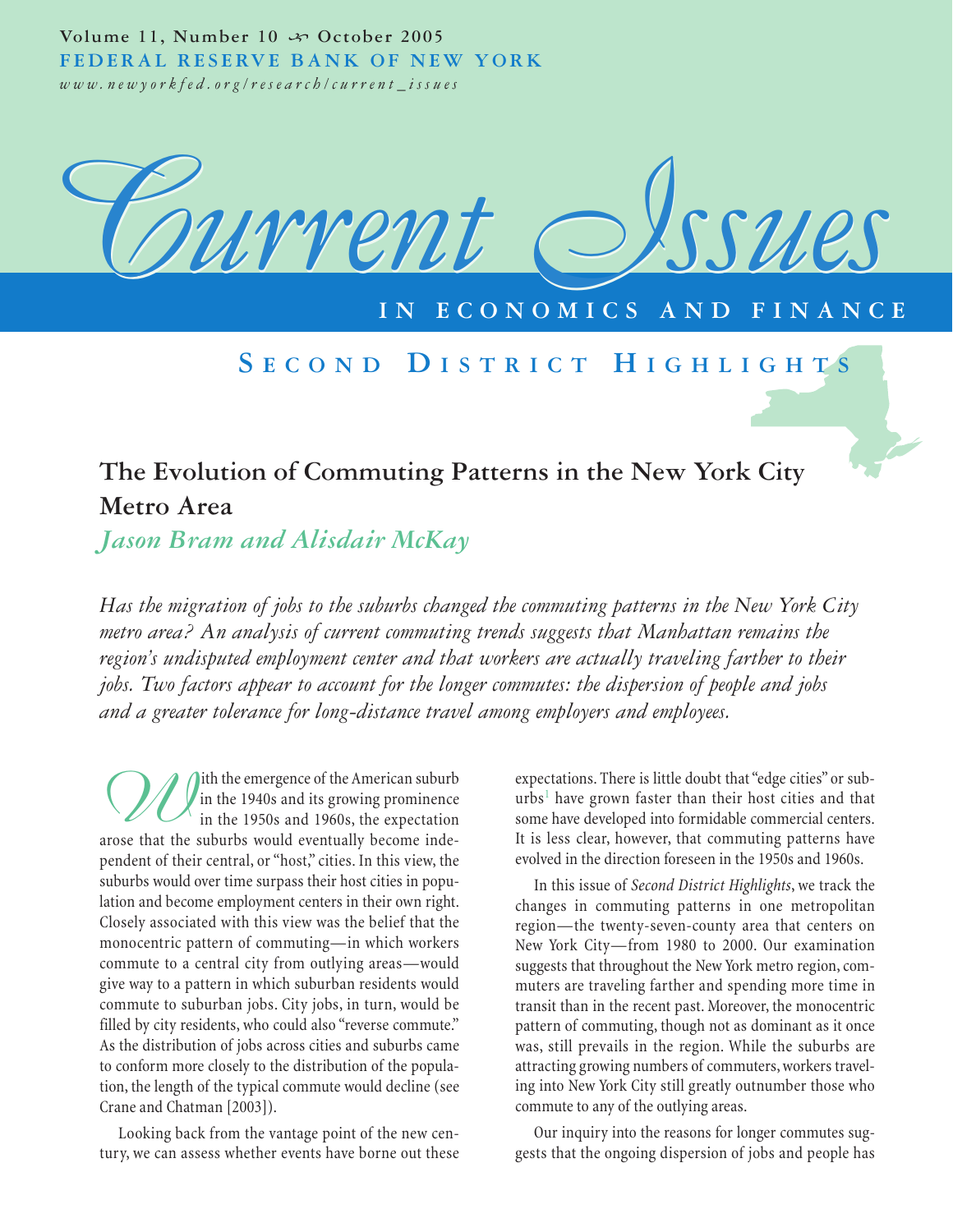Volume 11, Number 10  $\rightsquigarrow$  October 2005 **FEDERAL RESERVE BANK OF NEW YORK** *www.newyorkfed.org/research/current\_issues*



## **IECONOMICS**

## **S ECOND D ISTRICT H IGHLIGHTS**

# **The Evolution of Commuting Patterns in the New York City Metro Area**

*Jason Bram and Alisdair McKay*

*Has the migration of jobs to the suburbs changed the commuting patterns in the New York City metro area? An analysis of current commuting trends suggests that Manhattan remains the region's undisputed employment center and that workers are actually traveling farther to their jobs. Two factors appear to account for the longer commutes: the dispersion of people and jobs and a greater tolerance for long-distance travel among employers and employees.*

*W*ith the emergence of the American suburb<br>in the 1940s and its growing prominence<br>arose that the suburbs would eventually become indein the 1940s and its growing prominence in the 1950s and 1960s, the expectation pendent of their central, or "host," cities. In this view, the suburbs would over time surpass their host cities in population and become employment centers in their own right. Closely associated with this view was the belief that the monocentric pattern of commuting—in which workers commute to a central city from outlying areas—would give way to a pattern in which suburban residents would commute to suburban jobs. City jobs, in turn, would be filled by city residents, who could also "reverse commute." As the distribution of jobs across cities and suburbs came to conform more closely to the distribution of the population, the length of the typical commute would decline (see Crane and Chatman [2003]).

Looking back from the vantage point of the new century, we can assess whether events have borne out these expectations. There is little doubt that "edge cities" or sub $urbs<sup>1</sup>$  have grown faster than their host cities and that some have developed into formidable commercial centers. It is less clear, however, that commuting patterns have evolved in the direction foreseen in the 1950s and 1960s.

In this issue of *Second District Highlights*, we track the changes in commuting patterns in one metropolitan region—the twenty-seven-county area that centers on New York City—from 1980 to 2000. Our examination suggests that throughout the New York metro region, commuters are traveling farther and spending more time in transit than in the recent past. Moreover, the monocentric pattern of commuting, though not as dominant as it once was, still prevails in the region. While the suburbs are attracting growing numbers of commuters, workers traveling into New York City still greatly outnumber those who commute to any of the outlying areas.

Our inquiry into the reasons for longer commutes suggests that the ongoing dispersion of jobs and people has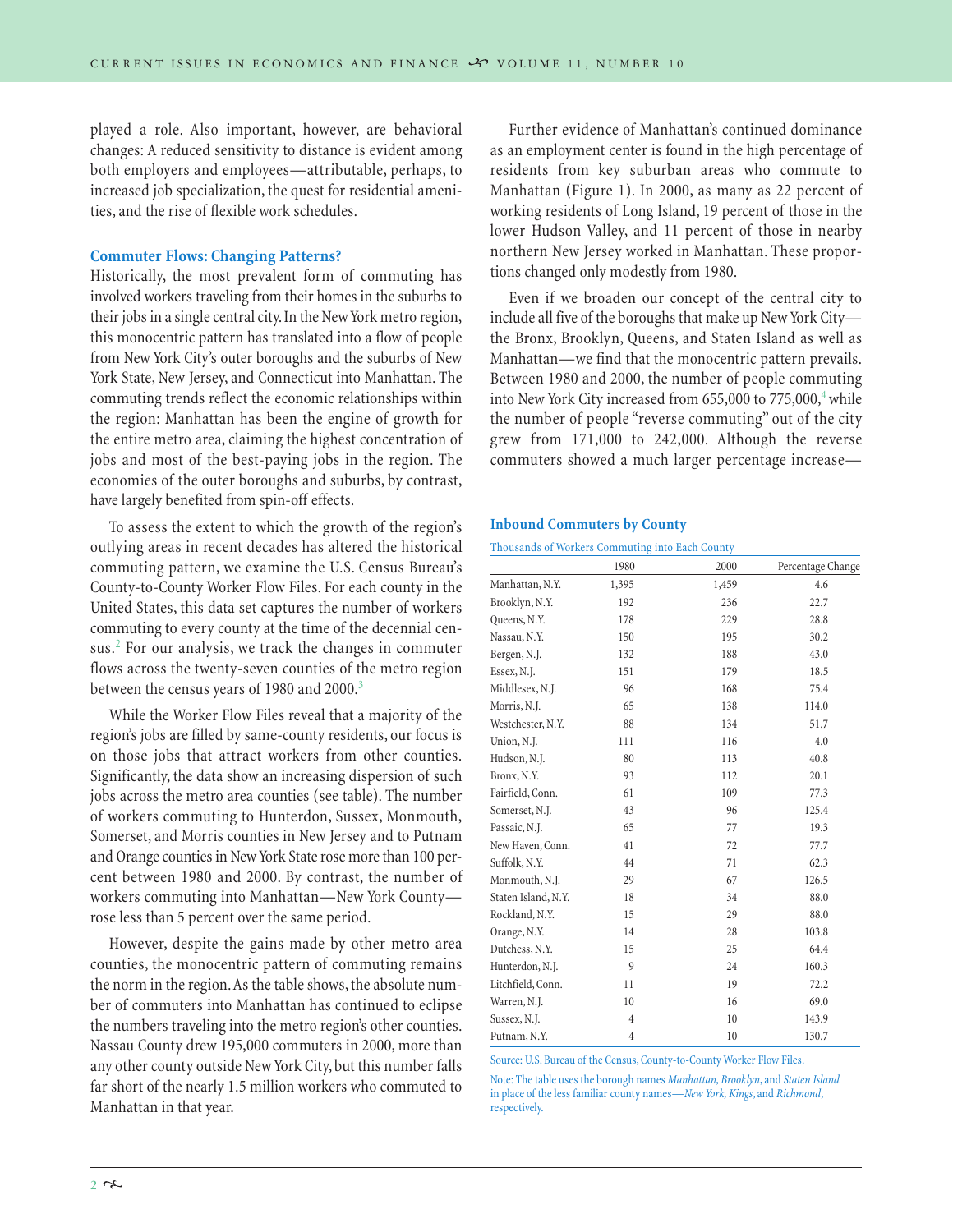played a role. Also important, however, are behavioral changes: A reduced sensitivity to distance is evident among both employers and employees—attributable, perhaps, to increased job specialization, the quest for residential amenities, and the rise of flexible work schedules.

## **Commuter Flows: Changing Patterns?**

Historically, the most prevalent form of commuting has involved workers traveling from their homes in the suburbs to their jobs in a single central city. In the New York metro region, this monocentric pattern has translated into a flow of people from New York City's outer boroughs and the suburbs of New York State, New Jersey, and Connecticut into Manhattan. The commuting trends reflect the economic relationships within the region: Manhattan has been the engine of growth for the entire metro area, claiming the highest concentration of jobs and most of the best-paying jobs in the region. The economies of the outer boroughs and suburbs, by contrast, have largely benefited from spin-off effects.

To assess the extent to which the growth of the region's outlying areas in recent decades has altered the historical commuting pattern, we examine the U.S. Census Bureau's County-to-County Worker Flow Files. For each county in the United States, this data set captures the number of workers commuting to every county at the time of the decennial census.<sup>2</sup> For our analysis, we track the changes in commuter flows across the twenty-seven counties of the metro region between the census years of 1980 and 2000.<sup>3</sup>

While the Worker Flow Files reveal that a majority of the region's jobs are filled by same-county residents, our focus is on those jobs that attract workers from other counties. Significantly, the data show an increasing dispersion of such jobs across the metro area counties (see table). The number of workers commuting to Hunterdon, Sussex, Monmouth, Somerset, and Morris counties in New Jersey and to Putnam and Orange counties in New York State rose more than 100 percent between 1980 and 2000. By contrast, the number of workers commuting into Manhattan—New York County rose less than 5 percent over the same period.

However, despite the gains made by other metro area counties, the monocentric pattern of commuting remains the norm in the region.As the table shows, the absolute number of commuters into Manhattan has continued to eclipse the numbers traveling into the metro region's other counties. Nassau County drew 195,000 commuters in 2000, more than any other county outside New York City, but this number falls far short of the nearly 1.5 million workers who commuted to Manhattan in that year.

Further evidence of Manhattan's continued dominance as an employment center is found in the high percentage of residents from key suburban areas who commute to Manhattan (Figure 1). In 2000, as many as 22 percent of working residents of Long Island, 19 percent of those in the lower Hudson Valley, and 11 percent of those in nearby northern New Jersey worked in Manhattan. These proportions changed only modestly from 1980.

Even if we broaden our concept of the central city to include all five of the boroughs that make up New York City the Bronx, Brooklyn, Queens, and Staten Island as well as Manhattan—we find that the monocentric pattern prevails. Between 1980 and 2000, the number of people commuting into New York City increased from  $655,000$  to  $775,000$ ,<sup>4</sup> while the number of people "reverse commuting" out of the city grew from 171,000 to 242,000. Although the reverse commuters showed a much larger percentage increase—

#### **Inbound Commuters by County**

Thousands of Workers Commuting into Each County

|                     | 1980  | 2000  | Percentage Change |
|---------------------|-------|-------|-------------------|
| Manhattan, N.Y.     | 1,395 | 1,459 | 4.6               |
| Brooklyn, N.Y.      | 192   | 236   | 22.7              |
| Queens, N.Y.        | 178   | 229   | 28.8              |
| Nassau, N.Y.        | 150   | 195   | 30.2              |
| Bergen, N.J.        | 132   | 188   | 43.0              |
| Essex, N.J.         | 151   | 179   | 18.5              |
| Middlesex, N.J.     | 96    | 168   | 75.4              |
| Morris, N.J.        | 65    | 138   | 114.0             |
| Westchester, N.Y.   | 88    | 134   | 51.7              |
| Union, N.J.         | 111   | 116   | 4.0               |
| Hudson, N.J.        | 80    | 113   | 40.8              |
| Bronx, N.Y.         | 93    | 112   | 20.1              |
| Fairfield, Conn.    | 61    | 109   | 77.3              |
| Somerset, N.J.      | 43    | 96    | 125.4             |
| Passaic, N.J.       | 65    | 77    | 19.3              |
| New Haven, Conn.    | 41    | 72    | 77.7              |
| Suffolk, N.Y.       | 44    | 71    | 62.3              |
| Monmouth, N.J.      | 29    | 67    | 126.5             |
| Staten Island, N.Y. | 18    | 34    | 88.0              |
| Rockland, N.Y.      | 15    | 29    | 88.0              |
| Orange, N.Y.        | 14    | 28    | 103.8             |
| Dutchess, N.Y.      | 15    | 25    | 64.4              |
| Hunterdon, N.J.     | 9     | 24    | 160.3             |
| Litchfield, Conn.   | 11    | 19    | 72.2              |
| Warren, N.J.        | 10    | 16    | 69.0              |
| Sussex, N.J.        | 4     | 10    | 143.9             |
| Putnam, N.Y.        | 4     | 10    | 130.7             |

Source: U.S. Bureau of the Census, County-to-County Worker Flow Files.

Note: The table uses the borough names *Manhattan, Brooklyn*, and *Staten Island* in place of the less familiar county names—*New York, Kings*, and *Richmond*, respectively.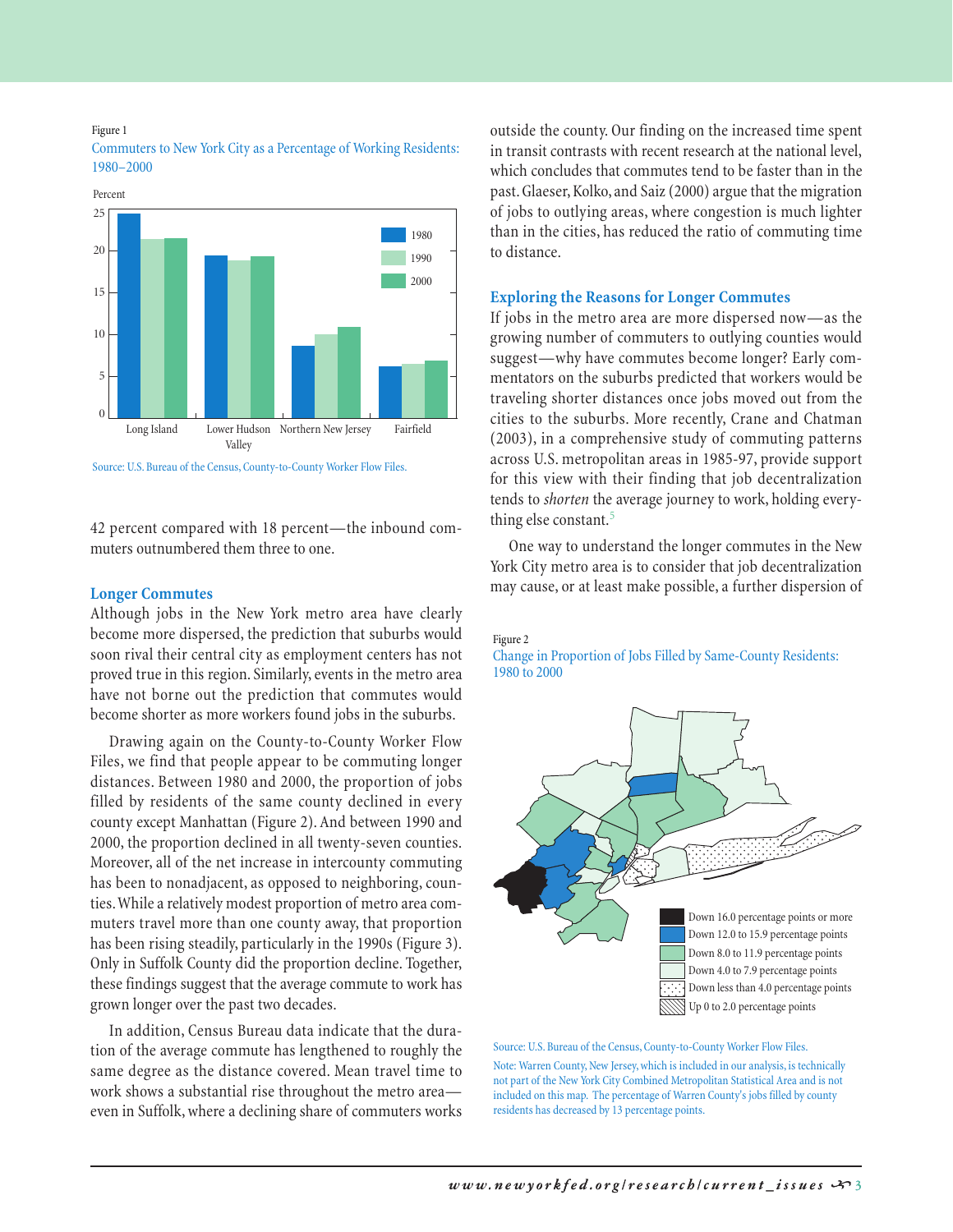#### Figure 1



Commuters to New York City as a Percentage of Working Residents: 1980–2000

#### Source: U.S. Bureau of the Census, County-to-County Worker Flow Files.

42 percent compared with 18 percent—the inbound commuters outnumbered them three to one.

#### **Longer Commutes**

Although jobs in the New York metro area have clearly become more dispersed, the prediction that suburbs would soon rival their central city as employment centers has not proved true in this region. Similarly, events in the metro area have not borne out the prediction that commutes would become shorter as more workers found jobs in the suburbs.

Drawing again on the County-to-County Worker Flow Files, we find that people appear to be commuting longer distances. Between 1980 and 2000, the proportion of jobs filled by residents of the same county declined in every county except Manhattan (Figure 2). And between 1990 and 2000, the proportion declined in all twenty-seven counties. Moreover, all of the net increase in intercounty commuting has been to nonadjacent, as opposed to neighboring, counties.While a relatively modest proportion of metro area commuters travel more than one county away, that proportion has been rising steadily, particularly in the 1990s (Figure 3). Only in Suffolk County did the proportion decline. Together, these findings suggest that the average commute to work has grown longer over the past two decades.

In addition, Census Bureau data indicate that the duration of the average commute has lengthened to roughly the same degree as the distance covered. Mean travel time to work shows a substantial rise throughout the metro area even in Suffolk, where a declining share of commuters works

outside the county. Our finding on the increased time spent in transit contrasts with recent research at the national level, which concludes that commutes tend to be faster than in the past. Glaeser, Kolko, and Saiz (2000) argue that the migration of jobs to outlying areas, where congestion is much lighter than in the cities, has reduced the ratio of commuting time to distance.

#### **Exploring the Reasons for Longer Commutes**

If jobs in the metro area are more dispersed now—as the growing number of commuters to outlying counties would suggest—why have commutes become longer? Early commentators on the suburbs predicted that workers would be traveling shorter distances once jobs moved out from the cities to the suburbs. More recently, Crane and Chatman (2003), in a comprehensive study of commuting patterns across U.S. metropolitan areas in 1985-97, provide support for this view with their finding that job decentralization tends to *shorten* the average journey to work, holding everything else constant.<sup>5</sup>

One way to understand the longer commutes in the New York City metro area is to consider that job decentralization may cause, or at least make possible, a further dispersion of

#### Figure 2

Change in Proportion of Jobs Filled by Same-County Residents: 1980 to 2000



Source: U.S. Bureau of the Census, County-to-County Worker Flow Files.

Note: Warren County, New Jersey, which is included in our analysis, is technically not part of the New York City Combined Metropolitan Statistical Area and is not included on this map. The percentage of Warren County's jobs filled by county residents has decreased by 13 percentage points.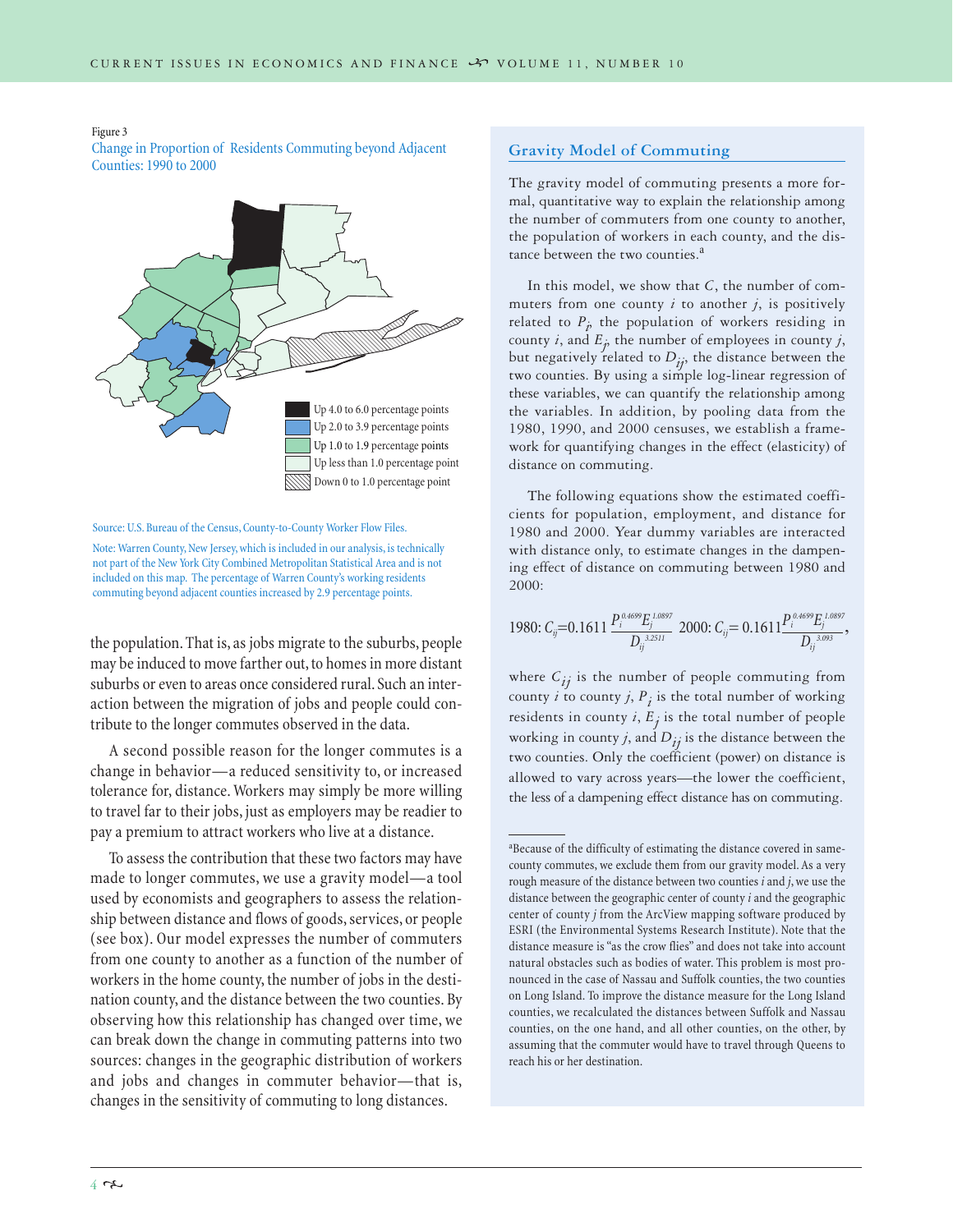Figure 3

Change in Proportion of Residents Commuting beyond Adjacent Counties: 1990 to 2000



Source: U.S. Bureau of the Census, County-to-County Worker Flow Files.

Note: Warren County, New Jersey, which is included in our analysis, is technically not part of the New York City Combined Metropolitan Statistical Area and is not included on this map. The percentage of Warren County's working residents commuting beyond adjacent counties increased by 2.9 percentage points.

the population. That is, as jobs migrate to the suburbs, people may be induced to move farther out, to homes in more distant suburbs or even to areas once considered rural. Such an interaction between the migration of jobs and people could contribute to the longer commutes observed in the data.

A second possible reason for the longer commutes is a change in behavior—a reduced sensitivity to, or increased tolerance for, distance. Workers may simply be more willing to travel far to their jobs, just as employers may be readier to pay a premium to attract workers who live at a distance.

To assess the contribution that these two factors may have made to longer commutes, we use a gravity model—a tool used by economists and geographers to assess the relationship between distance and flows of goods, services, or people (see box). Our model expresses the number of commuters from one county to another as a function of the number of workers in the home county, the number of jobs in the destination county, and the distance between the two counties. By observing how this relationship has changed over time, we can break down the change in commuting patterns into two sources: changes in the geographic distribution of workers and jobs and changes in commuter behavior—that is, changes in the sensitivity of commuting to long distances.

#### **Gravity Model of Commuting**

The gravity model of commuting presents a more formal, quantitative way to explain the relationship among the number of commuters from one county to another, the population of workers in each county, and the distance between the two counties.<sup>a</sup>

In this model, we show that *C*, the number of commuters from one county  $i$  to another  $j$ , is positively related to  $P_p$  the population of workers residing in county *i*, and  $E_j$ , the number of employees in county *j*, but negatively related to  $D_{ij}$ , the distance between the two counties. By using a simple log-linear regression of these variables, we can quantify the relationship among the variables. In addition, by pooling data from the 1980, 1990, and 2000 censuses, we establish a framework for quantifying changes in the effect (elasticity) of distance on commuting.

The following equations show the estimated coefficients for population, employment, and distance for 1980 and 2000. Year dummy variables are interacted with distance only, to estimate changes in the dampening effect of distance on commuting between 1980 and 2000:

1980: 
$$
C_{ij}
$$
=0.1611  $\frac{P_i^{0.4699}E_j^{1.0897}}{D_{ij}^{3.2511}}$  2000:  $C_{ij}$ = 0.1611  $\frac{P_i^{0.4699}E_j^{1.0897}}{D_{ij}^{3.093}}$ ,

where  $C_{ij}$  is the number of people commuting from county  $i$  to county  $j$ ,  $P_i$  is the total number of working residents in county  $i$ ,  $E_j$  is the total number of people working in county *j*, and  $D_{ij}$  is the distance between the two counties. Only the coefficient (power) on distance is allowed to vary across years—the lower the coefficient, the less of a dampening effect distance has on commuting.

a Because of the difficulty of estimating the distance covered in samecounty commutes, we exclude them from our gravity model. As a very rough measure of the distance between two counties *i* and *j*, we use the distance between the geographic center of county *i* and the geographic center of county *j* from the ArcView mapping software produced by ESRI (the Environmental Systems Research Institute). Note that the distance measure is "as the crow flies" and does not take into account natural obstacles such as bodies of water. This problem is most pronounced in the case of Nassau and Suffolk counties, the two counties on Long Island. To improve the distance measure for the Long Island counties, we recalculated the distances between Suffolk and Nassau counties, on the one hand, and all other counties, on the other, by assuming that the commuter would have to travel through Queens to reach his or her destination.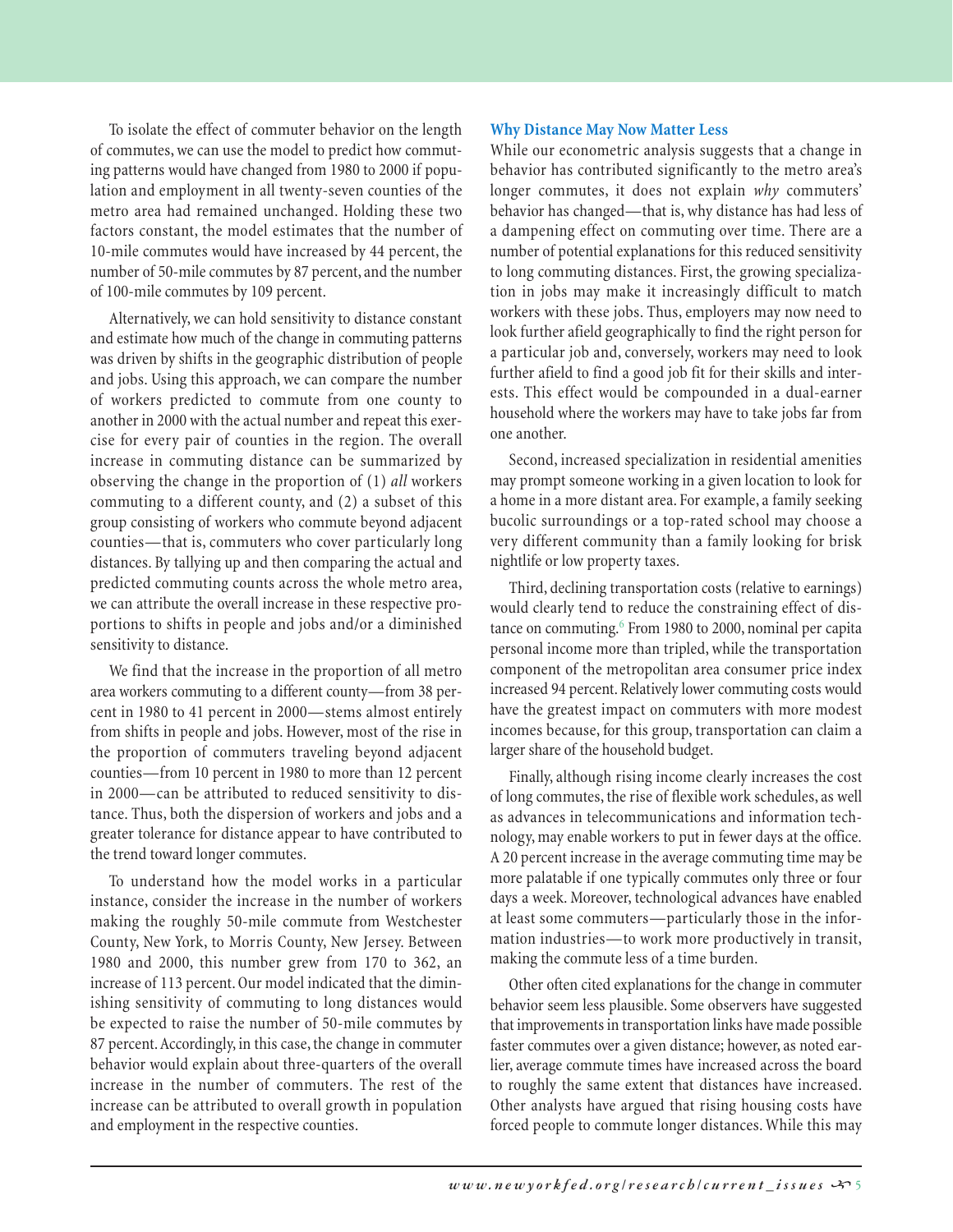To isolate the effect of commuter behavior on the length of commutes, we can use the model to predict how commuting patterns would have changed from 1980 to 2000 if population and employment in all twenty-seven counties of the metro area had remained unchanged. Holding these two factors constant, the model estimates that the number of 10-mile commutes would have increased by 44 percent, the number of 50-mile commutes by 87 percent, and the number of 100-mile commutes by 109 percent.

Alternatively, we can hold sensitivity to distance constant and estimate how much of the change in commuting patterns was driven by shifts in the geographic distribution of people and jobs. Using this approach, we can compare the number of workers predicted to commute from one county to another in 2000 with the actual number and repeat this exercise for every pair of counties in the region. The overall increase in commuting distance can be summarized by observing the change in the proportion of (1) *all* workers commuting to a different county, and (2) a subset of this group consisting of workers who commute beyond adjacent counties—that is, commuters who cover particularly long distances. By tallying up and then comparing the actual and predicted commuting counts across the whole metro area, we can attribute the overall increase in these respective proportions to shifts in people and jobs and/or a diminished sensitivity to distance.

We find that the increase in the proportion of all metro area workers commuting to a different county—from 38 percent in 1980 to 41 percent in 2000—stems almost entirely from shifts in people and jobs. However, most of the rise in the proportion of commuters traveling beyond adjacent counties—from 10 percent in 1980 to more than 12 percent in 2000—can be attributed to reduced sensitivity to distance. Thus, both the dispersion of workers and jobs and a greater tolerance for distance appear to have contributed to the trend toward longer commutes.

To understand how the model works in a particular instance, consider the increase in the number of workers making the roughly 50-mile commute from Westchester County, New York, to Morris County, New Jersey. Between 1980 and 2000, this number grew from 170 to 362, an increase of 113 percent. Our model indicated that the diminishing sensitivity of commuting to long distances would be expected to raise the number of 50-mile commutes by 87 percent. Accordingly, in this case, the change in commuter behavior would explain about three-quarters of the overall increase in the number of commuters. The rest of the increase can be attributed to overall growth in population and employment in the respective counties.

## **Why Distance May Now Matter Less**

While our econometric analysis suggests that a change in behavior has contributed significantly to the metro area's longer commutes, it does not explain *why* commuters' behavior has changed—that is, why distance has had less of a dampening effect on commuting over time. There are a number of potential explanations for this reduced sensitivity to long commuting distances. First, the growing specialization in jobs may make it increasingly difficult to match workers with these jobs. Thus, employers may now need to look further afield geographically to find the right person for a particular job and, conversely, workers may need to look further afield to find a good job fit for their skills and interests. This effect would be compounded in a dual-earner household where the workers may have to take jobs far from one another.

Second, increased specialization in residential amenities may prompt someone working in a given location to look for a home in a more distant area. For example, a family seeking bucolic surroundings or a top-rated school may choose a very different community than a family looking for brisk nightlife or low property taxes.

Third, declining transportation costs (relative to earnings) would clearly tend to reduce the constraining effect of distance on commuting.<sup>6</sup> From 1980 to 2000, nominal per capita personal income more than tripled, while the transportation component of the metropolitan area consumer price index increased 94 percent. Relatively lower commuting costs would have the greatest impact on commuters with more modest incomes because, for this group, transportation can claim a larger share of the household budget.

Finally, although rising income clearly increases the cost of long commutes, the rise of flexible work schedules, as well as advances in telecommunications and information technology, may enable workers to put in fewer days at the office. A 20 percent increase in the average commuting time may be more palatable if one typically commutes only three or four days a week. Moreover, technological advances have enabled at least some commuters—particularly those in the information industries—to work more productively in transit, making the commute less of a time burden.

Other often cited explanations for the change in commuter behavior seem less plausible. Some observers have suggested that improvements in transportation links have made possible faster commutes over a given distance; however, as noted earlier, average commute times have increased across the board to roughly the same extent that distances have increased. Other analysts have argued that rising housing costs have forced people to commute longer distances. While this may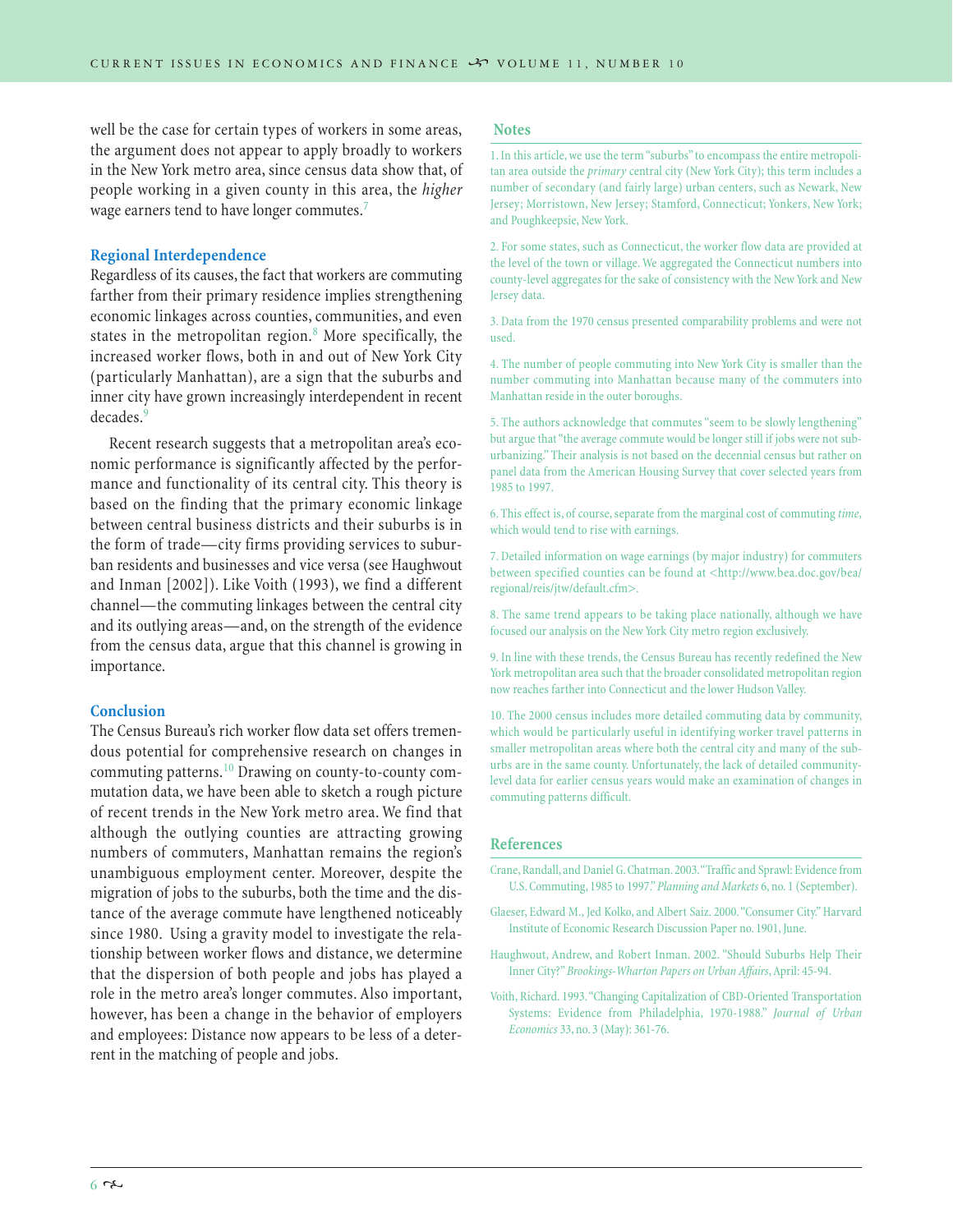well be the case for certain types of workers in some areas, the argument does not appear to apply broadly to workers in the New York metro area, since census data show that, of people working in a given county in this area, the *higher* wage earners tend to have longer commutes.<sup>7</sup>

## **Regional Interdependence**

Regardless of its causes, the fact that workers are commuting farther from their primary residence implies strengthening economic linkages across counties, communities, and even states in the metropolitan region. $8$  More specifically, the increased worker flows, both in and out of New York City (particularly Manhattan), are a sign that the suburbs and inner city have grown increasingly interdependent in recent decades.<sup>9</sup>

Recent research suggests that a metropolitan area's economic performance is significantly affected by the performance and functionality of its central city. This theory is based on the finding that the primary economic linkage between central business districts and their suburbs is in the form of trade—city firms providing services to suburban residents and businesses and vice versa (see Haughwout and Inman [2002]). Like Voith (1993), we find a different channel—the commuting linkages between the central city and its outlying areas—and, on the strength of the evidence from the census data, argue that this channel is growing in importance.

### **Conclusion**

The Census Bureau's rich worker flow data set offers tremendous potential for comprehensive research on changes in commuting patterns.<sup>10</sup> Drawing on county-to-county commutation data, we have been able to sketch a rough picture of recent trends in the New York metro area. We find that although the outlying counties are attracting growing numbers of commuters, Manhattan remains the region's unambiguous employment center. Moreover, despite the migration of jobs to the suburbs, both the time and the distance of the average commute have lengthened noticeably since 1980. Using a gravity model to investigate the relationship between worker flows and distance, we determine that the dispersion of both people and jobs has played a role in the metro area's longer commutes. Also important, however, has been a change in the behavior of employers and employees: Distance now appears to be less of a deterrent in the matching of people and jobs.

### **Notes**

1. In this article, we use the term "suburbs" to encompass the entire metropolitan area outside the *primary* central city (New York City); this term includes a number of secondary (and fairly large) urban centers, such as Newark, New Jersey; Morristown, New Jersey; Stamford, Connecticut; Yonkers, New York; and Poughkeepsie, New York.

2. For some states, such as Connecticut, the worker flow data are provided at the level of the town or village. We aggregated the Connecticut numbers into county-level aggregates for the sake of consistency with the New York and New Jersey data.

3. Data from the 1970 census presented comparability problems and were not used.

4. The number of people commuting into New York City is smaller than the number commuting into Manhattan because many of the commuters into Manhattan reside in the outer boroughs.

5. The authors acknowledge that commutes "seem to be slowly lengthening" but argue that "the average commute would be longer still if jobs were not suburbanizing." Their analysis is not based on the decennial census but rather on panel data from the American Housing Survey that cover selected years from 1985 to 1997.

6. This effect is, of course, separate from the marginal cost of commuting *time*, which would tend to rise with earnings.

7. Detailed information on wage earnings (by major industry) for commuters between specified counties can be found at <http://www.bea.doc.gov/bea/ regional/reis/jtw/default.cfm>.

8. The same trend appears to be taking place nationally, although we have focused our analysis on the New York City metro region exclusively.

9. In line with these trends, the Census Bureau has recently redefined the New York metropolitan area such that the broader consolidated metropolitan region now reaches farther into Connecticut and the lower Hudson Valley.

10. The 2000 census includes more detailed commuting data by community, which would be particularly useful in identifying worker travel patterns in smaller metropolitan areas where both the central city and many of the suburbs are in the same county. Unfortunately, the lack of detailed communitylevel data for earlier census years would make an examination of changes in commuting patterns difficult.

#### **References**

- Crane, Randall, and Daniel G. Chatman.2003."Traffic and Sprawl: Evidence from U.S. Commuting, 1985 to 1997."*Planning and Markets* 6, no. 1 (September).
- Glaeser, Edward M., Jed Kolko, and Albert Saiz. 2000."Consumer City." Harvard Institute of Economic Research Discussion Paper no. 1901, June.
- Haughwout, Andrew, and Robert Inman. 2002. "Should Suburbs Help Their Inner City?"*Brookings-Wharton Papers on Urban Affairs*, April: 45-94.
- Voith, Richard. 1993."Changing Capitalization of CBD-Oriented Transportation Systems: Evidence from Philadelphia, 1970-1988." *Journal of Urban Economics* 33, no. 3 (May): 361-76.